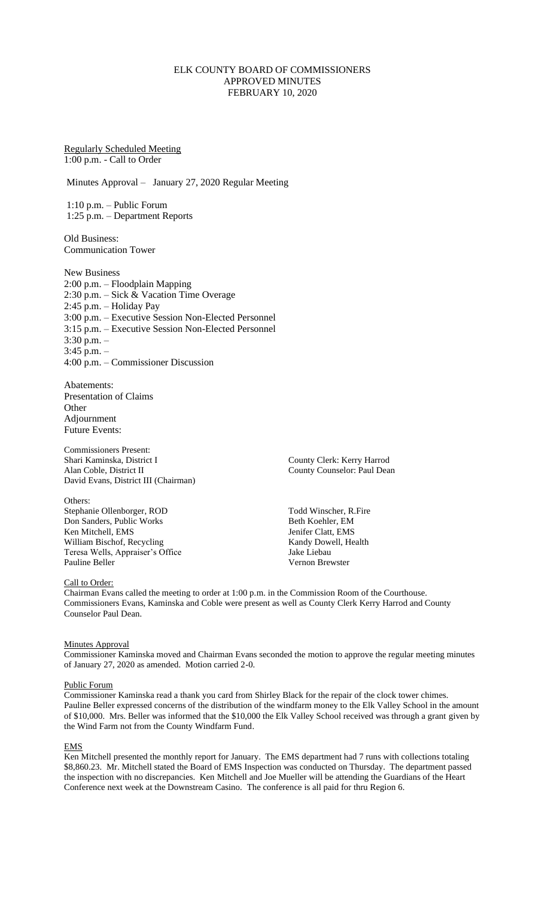# ELK COUNTY BOARD OF COMMISSIONERS APPROVED MINUTES FEBRUARY 10, 2020

Regularly Scheduled Meeting 1:00 p.m. - Call to Order

Minutes Approval – January 27, 2020 Regular Meeting

1:10 p.m. – Public Forum 1:25 p.m. – Department Reports

Old Business: Communication Tower

New Business 2:00 p.m. – Floodplain Mapping 2:30 p.m. – Sick & Vacation Time Overage 2:45 p.m. – Holiday Pay 3:00 p.m. – Executive Session Non-Elected Personnel 3:15 p.m. – Executive Session Non-Elected Personnel 3:30 p.m. – 3:45 p.m. – 4:00 p.m. – Commissioner Discussion

Abatements: Presentation of Claims **Other** Adjournment Future Events:

Commissioners Present: Shari Kaminska, District I County Clerk: Kerry Harrod<br>Alan Coble, District II County County Counselor: Paul Dear David Evans, District III (Chairman)

Others: Stephanie Ollenborger, ROD Todd Winscher, R.Fire<br>
Don Sanders, Public Works<br>
Beth Koehler, EM Don Sanders, Public Works Ken Mitchell, EMS Jenifer Clatt, EMS William Bischof, Recycling<br>
Teresa Wells, Appraiser's Office<br>
Iake Liebau Teresa Wells, Appraiser's Office<br>Pauline Beller

County Counselor: Paul Dean

Vernon Brewster

#### Call to Order:

Chairman Evans called the meeting to order at 1:00 p.m. in the Commission Room of the Courthouse. Commissioners Evans, Kaminska and Coble were present as well as County Clerk Kerry Harrod and County Counselor Paul Dean.

### Minutes Approval

Commissioner Kaminska moved and Chairman Evans seconded the motion to approve the regular meeting minutes of January 27, 2020 as amended. Motion carried 2-0.

#### Public Forum

Commissioner Kaminska read a thank you card from Shirley Black for the repair of the clock tower chimes. Pauline Beller expressed concerns of the distribution of the windfarm money to the Elk Valley School in the amount of \$10,000. Mrs. Beller was informed that the \$10,000 the Elk Valley School received was through a grant given by the Wind Farm not from the County Windfarm Fund.

#### **EMS**

Ken Mitchell presented the monthly report for January. The EMS department had 7 runs with collections totaling \$8,860.23. Mr. Mitchell stated the Board of EMS Inspection was conducted on Thursday. The department passed the inspection with no discrepancies. Ken Mitchell and Joe Mueller will be attending the Guardians of the Heart Conference next week at the Downstream Casino. The conference is all paid for thru Region 6.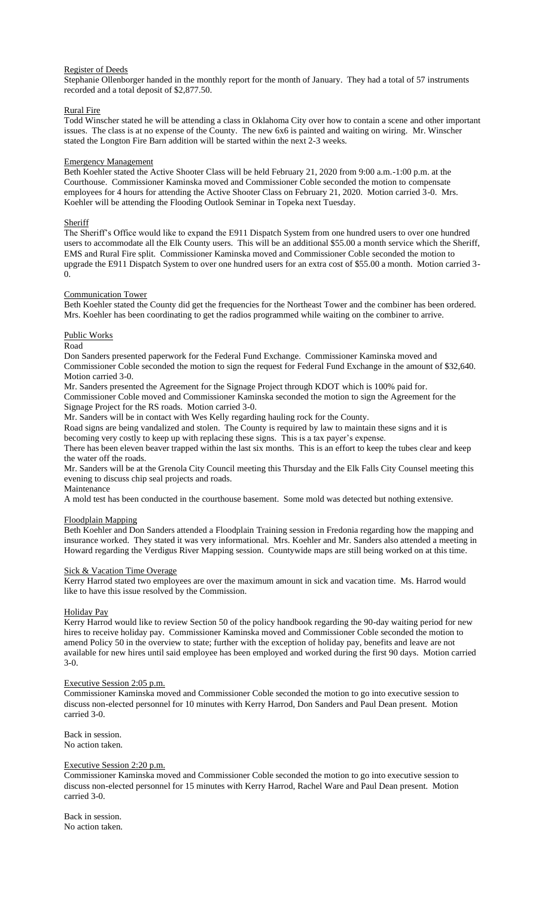# Register of Deeds

Stephanie Ollenborger handed in the monthly report for the month of January. They had a total of 57 instruments recorded and a total deposit of \$2,877.50.

# Rural Fire

Todd Winscher stated he will be attending a class in Oklahoma City over how to contain a scene and other important issues. The class is at no expense of the County. The new 6x6 is painted and waiting on wiring. Mr. Winscher stated the Longton Fire Barn addition will be started within the next 2-3 weeks.

# Emergency Management

Beth Koehler stated the Active Shooter Class will be held February 21, 2020 from 9:00 a.m.-1:00 p.m. at the Courthouse. Commissioner Kaminska moved and Commissioner Coble seconded the motion to compensate employees for 4 hours for attending the Active Shooter Class on February 21, 2020. Motion carried 3-0. Mrs. Koehler will be attending the Flooding Outlook Seminar in Topeka next Tuesday.

# **Sheriff**

The Sheriff's Office would like to expand the E911 Dispatch System from one hundred users to over one hundred users to accommodate all the Elk County users. This will be an additional \$55.00 a month service which the Sheriff, EMS and Rural Fire split. Commissioner Kaminska moved and Commissioner Coble seconded the motion to upgrade the E911 Dispatch System to over one hundred users for an extra cost of \$55.00 a month. Motion carried 3- 0.

# Communication Tower

Beth Koehler stated the County did get the frequencies for the Northeast Tower and the combiner has been ordered. Mrs. Koehler has been coordinating to get the radios programmed while waiting on the combiner to arrive.

# Public Works

### Road

Don Sanders presented paperwork for the Federal Fund Exchange. Commissioner Kaminska moved and Commissioner Coble seconded the motion to sign the request for Federal Fund Exchange in the amount of \$32,640. Motion carried 3-0.

Mr. Sanders presented the Agreement for the Signage Project through KDOT which is 100% paid for. Commissioner Coble moved and Commissioner Kaminska seconded the motion to sign the Agreement for the Signage Project for the RS roads. Motion carried 3-0.

Mr. Sanders will be in contact with Wes Kelly regarding hauling rock for the County.

Road signs are being vandalized and stolen. The County is required by law to maintain these signs and it is becoming very costly to keep up with replacing these signs. This is a tax payer's expense.

There has been eleven beaver trapped within the last six months. This is an effort to keep the tubes clear and keep the water off the roads.

Mr. Sanders will be at the Grenola City Council meeting this Thursday and the Elk Falls City Counsel meeting this evening to discuss chip seal projects and roads.

Maintenance A mold test has been conducted in the courthouse basement. Some mold was detected but nothing extensive.

# Floodplain Mapping

Beth Koehler and Don Sanders attended a Floodplain Training session in Fredonia regarding how the mapping and insurance worked. They stated it was very informational. Mrs. Koehler and Mr. Sanders also attended a meeting in Howard regarding the Verdigus River Mapping session. Countywide maps are still being worked on at this time.

# Sick & Vacation Time Overage

Kerry Harrod stated two employees are over the maximum amount in sick and vacation time. Ms. Harrod would like to have this issue resolved by the Commission.

# Holiday Pay

Kerry Harrod would like to review Section 50 of the policy handbook regarding the 90-day waiting period for new hires to receive holiday pay. Commissioner Kaminska moved and Commissioner Coble seconded the motion to amend Policy 50 in the overview to state; further with the exception of holiday pay, benefits and leave are not available for new hires until said employee has been employed and worked during the first 90 days. Motion carried 3-0.

### Executive Session 2:05 p.m.

Commissioner Kaminska moved and Commissioner Coble seconded the motion to go into executive session to discuss non-elected personnel for 10 minutes with Kerry Harrod, Don Sanders and Paul Dean present. Motion carried 3-0.

Back in session. No action taken.

# Executive Session 2:20 p.m.

Commissioner Kaminska moved and Commissioner Coble seconded the motion to go into executive session to discuss non-elected personnel for 15 minutes with Kerry Harrod, Rachel Ware and Paul Dean present. Motion carried 3-0.

Back in session. No action taken.